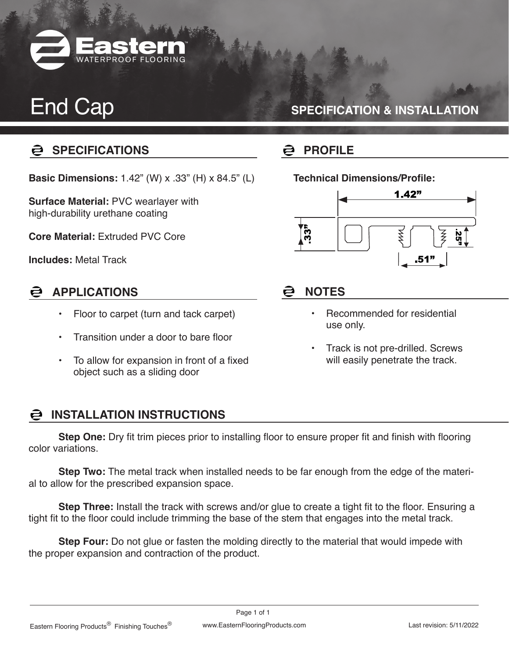

## End Cap

### **SPECIFICATION & INSTALLATION**

### **SPECIFICATIONS**

**Basic Dimensions:** 1.42" (W) x .33" (H) x 84.5" (L)

**Surface Material:** PVC wearlayer with high-durability urethane coating

**Core Material:** Extruded PVC Core

**Includes:** Metal Track

#### **APPLICATIONS**  $\mathbf{\Xi}$

- Floor to carpet (turn and tack carpet)
- Transition under a door to bare floor
- To allow for expansion in front of a fixed object such as a sliding door

#### **INSTALLATION INSTRUCTIONS**

**Step One:** Dry fit trim pieces prior to installing floor to ensure proper fit and finish with flooring color variations.

**Step Two:** The metal track when installed needs to be far enough from the edge of the material to allow for the prescribed expansion space.

**Step Three:** Install the track with screws and/or glue to create a tight fit to the floor. Ensuring a tight fit to the floor could include trimming the base of the stem that engages into the metal track.

**Step Four:** Do not glue or fasten the molding directly to the material that would impede with the proper expansion and contraction of the product.

## **PROFILE**

**Technical Dimensions/Profile:** 



### **NOTES**

- Recommended for residential use only.
- Track is not pre-drilled. Screws will easily penetrate the track.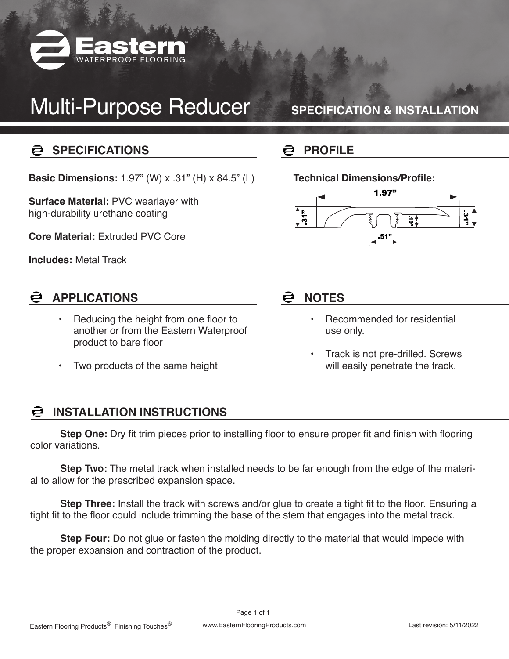

# Multi-Purpose Reducer

**SPECIFICATION & INSTALLATION**

### **SPECIFICATIONS**

**Basic Dimensions:** 1.97" (W) x .31" (H) x 84.5" (L)

**Surface Material:** PVC wearlayer with high-durability urethane coating

**Core Material:** Extruded PVC Core

**Includes:** Metal Track

### **APPLICATIONS**

- Reducing the height from one floor to another or from the Eastern Waterproof product to bare floor
- Two products of the same height

## **PROFILE**

#### **Technical Dimensions/Profile:**



#### ē **NOTES**

- Recommended for residential use only.
- Track is not pre-drilled. Screws will easily penetrate the track.

#### **INSTALLATION INSTRUCTIONS**

**Step One:** Dry fit trim pieces prior to installing floor to ensure proper fit and finish with flooring color variations.

**Step Two:** The metal track when installed needs to be far enough from the edge of the material to allow for the prescribed expansion space.

**Step Three:** Install the track with screws and/or glue to create a tight fit to the floor. Ensuring a tight fit to the floor could include trimming the base of the stem that engages into the metal track.

**Step Four:** Do not glue or fasten the molding directly to the material that would impede with the proper expansion and contraction of the product.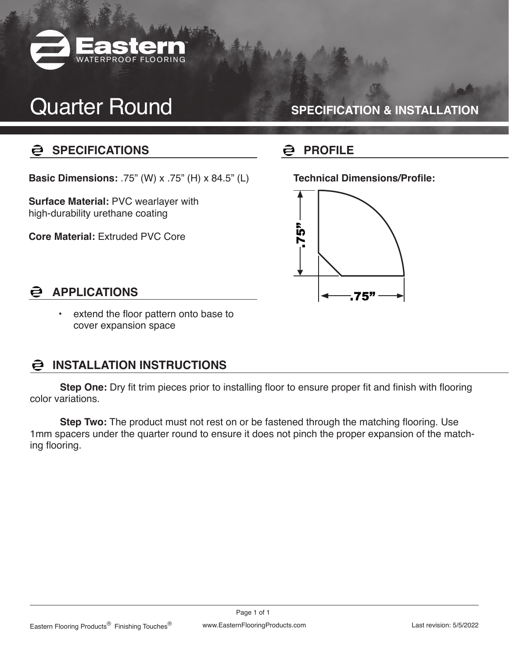

## Quarter Round

#### **SPECIFICATION & INSTALLATION**

#### **SPECIFICATIONS** ē

**Basic Dimensions:** .75" (W) x .75" (H) x 84.5" (L)

**Surface Material:** PVC wearlayer with high-durability urethane coating

**Core Material:** Extruded PVC Core

#### ē **PROFILE**

**Technical Dimensions/Profile:** 



#### **APPLICATIONS** ē

• extend the floor pattern onto base to cover expansion space

#### **INSTALLATION INSTRUCTIONS**

**Step One:** Dry fit trim pieces prior to installing floor to ensure proper fit and finish with flooring color variations.

**Step Two:** The product must not rest on or be fastened through the matching flooring. Use 1mm spacers under the quarter round to ensure it does not pinch the proper expansion of the matching flooring.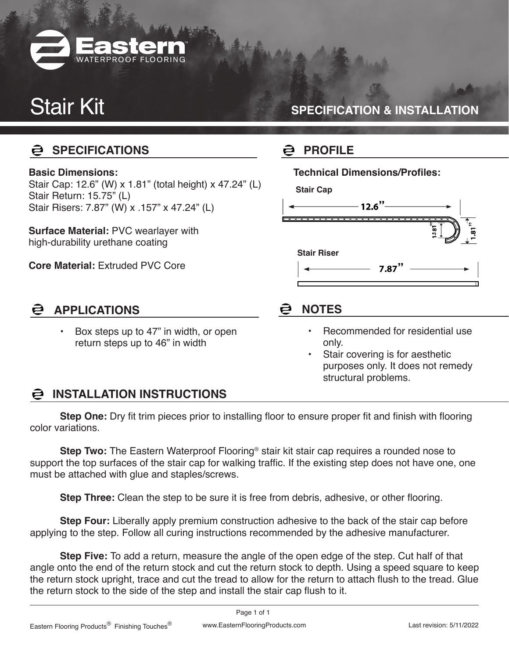

# Stair Kit

### **SPECIFICATION & INSTALLATION**

#### ē **SPECIFICATIONS**

#### **Basic Dimensions:**

Stair Cap: 12.6" (W) x 1.81" (total height) x 47.24" (L) Stair Return: 15.75" (L) Stair Risers: 7.87" (W) x .157" x 47.24" (L)

**Surface Material:** PVC wearlayer with high-durability urethane coating

**Core Material:** Extruded PVC Core

#### **APPLICATIONS**

• Box steps up to 47" in width, or open return steps up to 46" in width

#### a **PROFILE**

**Technical Dimensions/Profiles:** 

**Stair Cap**



### **NOTES**

- Recommended for residential use only.
- Stair covering is for aesthetic purposes only. It does not remedy structural problems.

### **INSTALLATION INSTRUCTIONS**

**Step One:** Dry fit trim pieces prior to installing floor to ensure proper fit and finish with flooring color variations.

**Step Two:** The Eastern Waterproof Flooring® stair kit stair cap requires a rounded nose to support the top surfaces of the stair cap for walking traffic. If the existing step does not have one, one must be attached with glue and staples/screws.

**Step Three:** Clean the step to be sure it is free from debris, adhesive, or other flooring.

**Step Four:** Liberally apply premium construction adhesive to the back of the stair cap before applying to the step. Follow all curing instructions recommended by the adhesive manufacturer.

**Step Five:** To add a return, measure the angle of the open edge of the step. Cut half of that angle onto the end of the return stock and cut the return stock to depth. Using a speed square to keep the return stock upright, trace and cut the tread to allow for the return to attach flush to the tread. Glue the return stock to the side of the step and install the stair cap flush to it.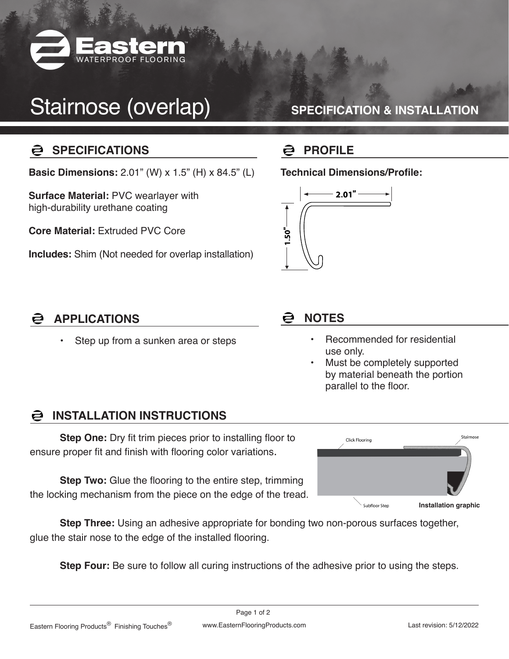

# Stairnose (overlap)

### **SPECIFICATION & INSTALLATION**

#### ē **SPECIFICATIONS**

**Basic Dimensions:** 2.01" (W) x 1.5" (H) x 84.5" (L)

**Surface Material:** PVC wearlayer with high-durability urethane coating

**Core Material:** Extruded PVC Core

**Includes:** Shim (Not needed for overlap installation)

### **PROFILE**

**Technical Dimensions/Profile:** 



#### **APPLICATIONS**

Step up from a sunken area or steps

### **NOTES**

- Recommended for residential use only.
- Must be completely supported by material beneath the portion parallel to the floor.

#### **INSTALLATION INSTRUCTIONS**

**Step One:** Dry fit trim pieces prior to installing floor to ensure proper fit and finish with flooring color variations.

**Step Two:** Glue the flooring to the entire step, trimming the locking mechanism from the piece on the edge of the tread.



**Step Three:** Using an adhesive appropriate for bonding two non-porous surfaces together, glue the stair nose to the edge of the installed flooring.

**Step Four:** Be sure to follow all curing instructions of the adhesive prior to using the steps.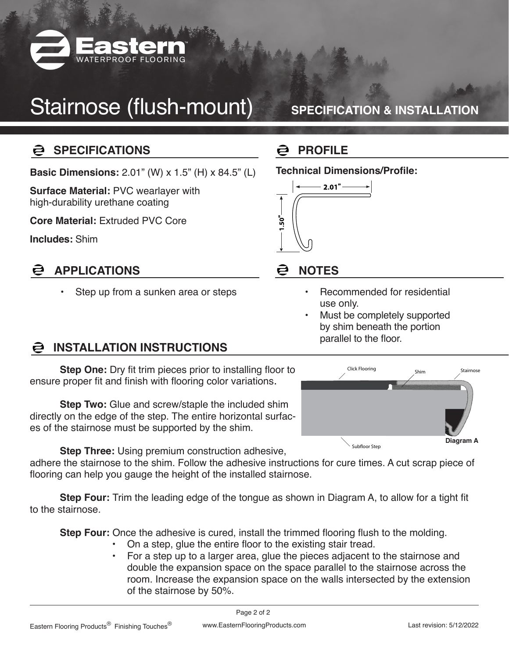

# Stairnose (flush-mount)

### **SPECIFICATION & INSTALLATION**

#### **Q SPECIFICATIONS**

**Basic Dimensions:** 2.01" (W) x 1.5" (H) x 84.5" (L)

**Surface Material:** PVC wearlayer with high-durability urethane coating

**Core Material:** Extruded PVC Core

**Includes:** Shim

#### **APPLICATIONS** ē

Step up from a sunken area or steps

## **PROFILE**

#### **Technical Dimensions/Profile:**



#### **NOTES** ē

- Recommended for residential use only.
- Must be completely supported by shim beneath the portion parallel to the floor.

## **INSTALLATION INSTRUCTIONS**

**Step One:** Dry fit trim pieces prior to installing floor to ensure proper fit and finish with flooring color variations.

**Step Two:** Glue and screw/staple the included shim directly on the edge of the step. The entire horizontal surfaces of the stairnose must be supported by the shim.

**Step Three:** Using premium construction adhesive,

adhere the stairnose to the shim. Follow the adhesive instructions for cure times. A cut scrap piece of flooring can help you gauge the height of the installed stairnose.

**Step Four:** Trim the leading edge of the tongue as shown in Diagram A, to allow for a tight fit to the stairnose.

**Step Four:** Once the adhesive is cured, install the trimmed flooring flush to the molding.

- On a step, glue the entire floor to the existing stair tread.
- For a step up to a larger area, glue the pieces adjacent to the stairnose and double the expansion space on the space parallel to the stairnose across the room. Increase the expansion space on the walls intersected by the extension of the stairnose by 50%.